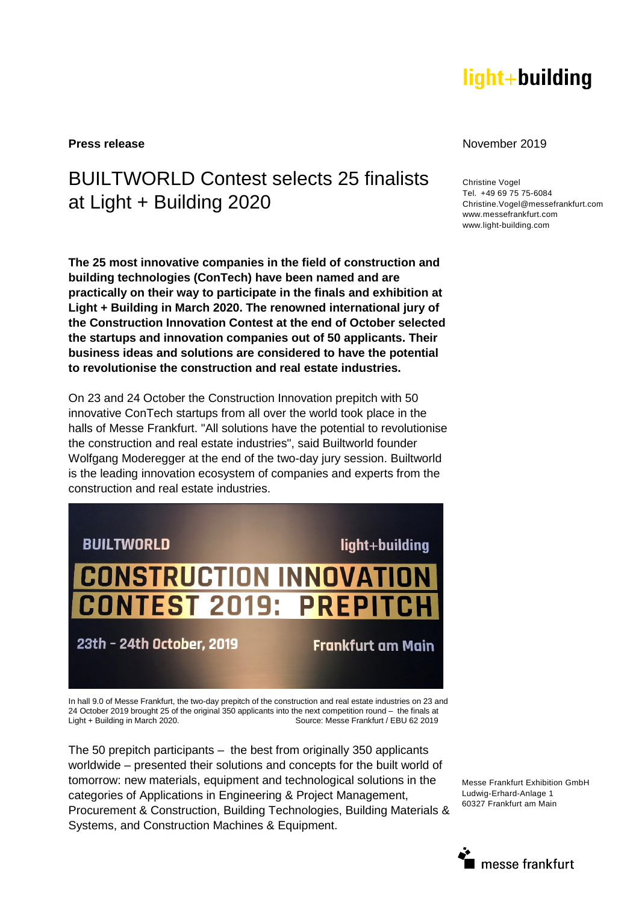# light+building

## BUILTWORLD Contest selects 25 finalists at Light + Building 2020

**The 25 most innovative companies in the field of construction and building technologies (ConTech) have been named and are practically on their way to participate in the finals and exhibition at Light + Building in March 2020. The renowned international jury of the Construction Innovation Contest at the end of October selected the startups and innovation companies out of 50 applicants. Their business ideas and solutions are considered to have the potential to revolutionise the construction and real estate industries.** 

On 23 and 24 October the Construction Innovation prepitch with 50 innovative ConTech startups from all over the world took place in the halls of Messe Frankfurt. "All solutions have the potential to revolutionise the construction and real estate industries", said Builtworld founder Wolfgang Moderegger at the end of the two-day jury session. Builtworld is the leading innovation ecosystem of companies and experts from the construction and real estate industries.



In hall 9.0 of Messe Frankfurt, the two-day prepitch of the construction and real estate industries on 23 and 24 October 2019 brought 25 of the original 350 applicants into the next competition round – the finals at Light + Building in March 2020. Source: Messe Frankfurt / EBU 62 2019

The 50 prepitch participants – the best from originally 350 applicants worldwide – presented their solutions and concepts for the built world of tomorrow: new materials, equipment and technological solutions in the categories of Applications in Engineering & Project Management, Procurement & Construction, Building Technologies, Building Materials & Systems, and Construction Machines & Equipment.

**Press release** November 2019

Christine Vogel Tel. +49 69 75 75-6084 Christine.Vogel@messefrankfurt.com www.messefrankfurt.com www.light-building.com

Messe Frankfurt Exhibition GmbH Ludwig-Erhard-Anlage 1 60327 Frankfurt am Main

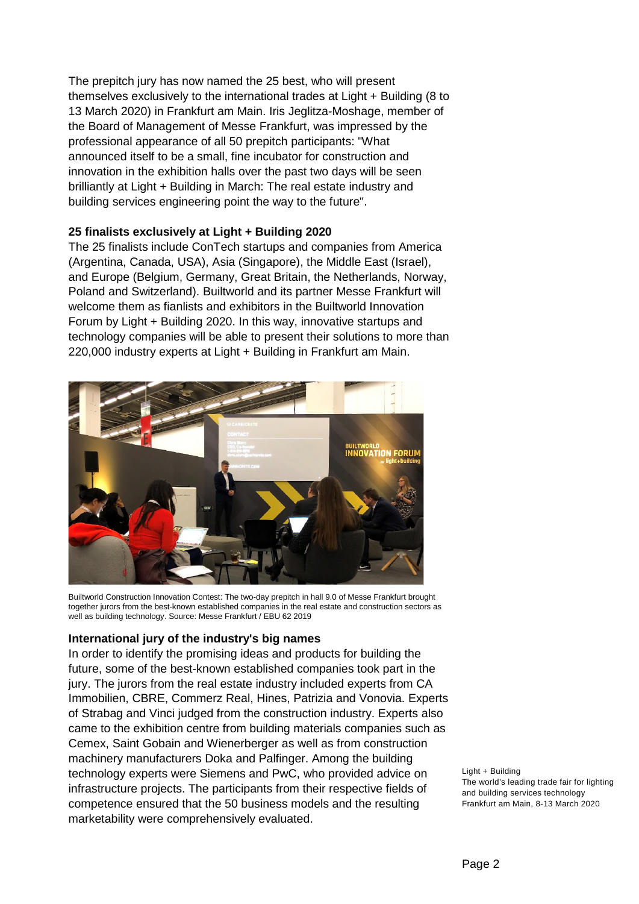The prepitch jury has now named the 25 best, who will present themselves exclusively to the international trades at Light + Building (8 to 13 March 2020) in Frankfurt am Main. Iris Jeglitza-Moshage, member of the Board of Management of Messe Frankfurt, was impressed by the professional appearance of all 50 prepitch participants: "What announced itself to be a small, fine incubator for construction and innovation in the exhibition halls over the past two days will be seen brilliantly at Light + Building in March: The real estate industry and building services engineering point the way to the future".

## **25 finalists exclusively at Light + Building 2020**

The 25 finalists include ConTech startups and companies from America (Argentina, Canada, USA), Asia (Singapore), the Middle East (Israel), and Europe (Belgium, Germany, Great Britain, the Netherlands, Norway, Poland and Switzerland). Builtworld and its partner Messe Frankfurt will welcome them as fianlists and exhibitors in the Builtworld Innovation Forum by Light + Building 2020. In this way, innovative startups and technology companies will be able to present their solutions to more than 220,000 industry experts at Light + Building in Frankfurt am Main.



Builtworld Construction Innovation Contest: The two-day prepitch in hall 9.0 of Messe Frankfurt brought together jurors from the best-known established companies in the real estate and construction sectors as well as building technology. Source: Messe Frankfurt / EBU 62 2019

## **International jury of the industry's big names**

In order to identify the promising ideas and products for building the future, some of the best-known established companies took part in the jury. The jurors from the real estate industry included experts from CA Immobilien, CBRE, Commerz Real, Hines, Patrizia and Vonovia. Experts of Strabag and Vinci judged from the construction industry. Experts also came to the exhibition centre from building materials companies such as Cemex, Saint Gobain and Wienerberger as well as from construction machinery manufacturers Doka and Palfinger. Among the building technology experts were Siemens and PwC, who provided advice on infrastructure projects. The participants from their respective fields of competence ensured that the 50 business models and the resulting marketability were comprehensively evaluated.

Light + Building The world's leading trade fair for lighting and building services technology Frankfurt am Main, 8-13 March 2020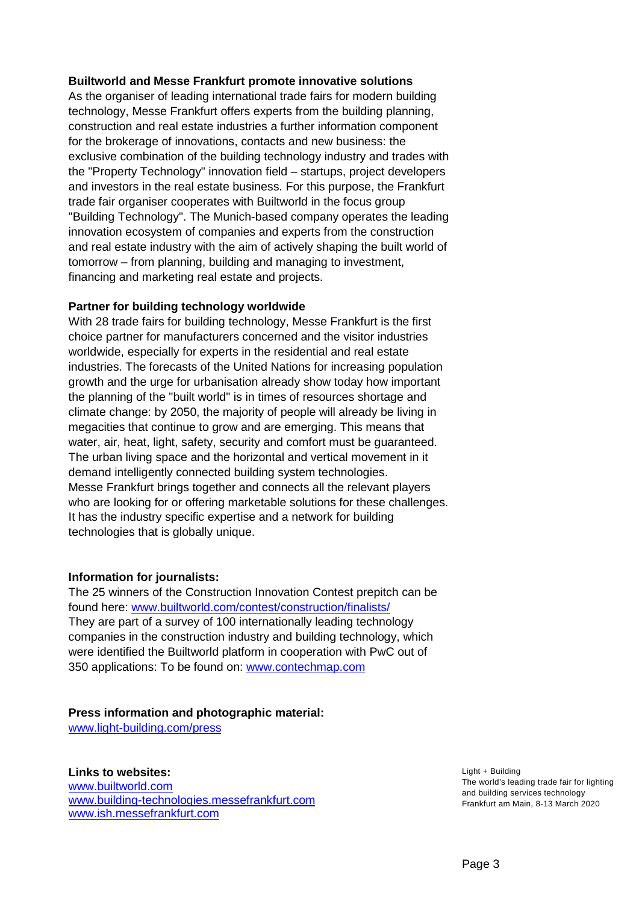#### **Builtworld and Messe Frankfurt promote innovative solutions**

As the organiser of leading international trade fairs for modern building technology, Messe Frankfurt offers experts from the building planning, construction and real estate industries a further information component for the brokerage of innovations, contacts and new business: the exclusive combination of the building technology industry and trades with the "Property Technology" innovation field – startups, project developers and investors in the real estate business. For this purpose, the Frankfurt trade fair organiser cooperates with Builtworld in the focus group "Building Technology". The Munich-based company operates the leading innovation ecosystem of companies and experts from the construction and real estate industry with the aim of actively shaping the built world of tomorrow – from planning, building and managing to investment, financing and marketing real estate and projects.

#### **Partner for building technology worldwide**

With 28 trade fairs for building technology, Messe Frankfurt is the first choice partner for manufacturers concerned and the visitor industries worldwide, especially for experts in the residential and real estate industries. The forecasts of the United Nations for increasing population growth and the urge for urbanisation already show today how important the planning of the "built world" is in times of resources shortage and climate change: by 2050, the majority of people will already be living in megacities that continue to grow and are emerging. This means that water, air, heat, light, safety, security and comfort must be guaranteed. The urban living space and the horizontal and vertical movement in it demand intelligently connected building system technologies. Messe Frankfurt brings together and connects all the relevant players who are looking for or offering marketable solutions for these challenges. It has the industry specific expertise and a network for building technologies that is globally unique.

## **Information for journalists:**

The 25 winners of the Construction Innovation Contest prepitch can be found here: [www.builtworld.com/contest/construction/finalists/](http://www.builtworld.com/contest/construction/finalists/)  They are part of a survey of 100 internationally leading technology companies in the construction industry and building technology, which were identified the Builtworld platform in cooperation with PwC out of 350 applications: To be found on: [www.contechmap.com](http://www.contechmap.com/)

## **Press information and photographic material:**

[www.light-building.com/press](http://www.light-building.com/press)

## **Links to websites:**

[www.builtworld.com](http://www.builtworld.com/) [www.building-technologies.messefrankfurt.com](https://technology.messefrankfurt.com/frankfurt/de/branchen/building-technologies.html)  [www.ish.messefrankfurt.com](https://ish.messefrankfurt.com/frankfurt/de.html)

Light + Building The world's leading trade fair for lighting and building services technology Frankfurt am Main, 8-13 March 2020